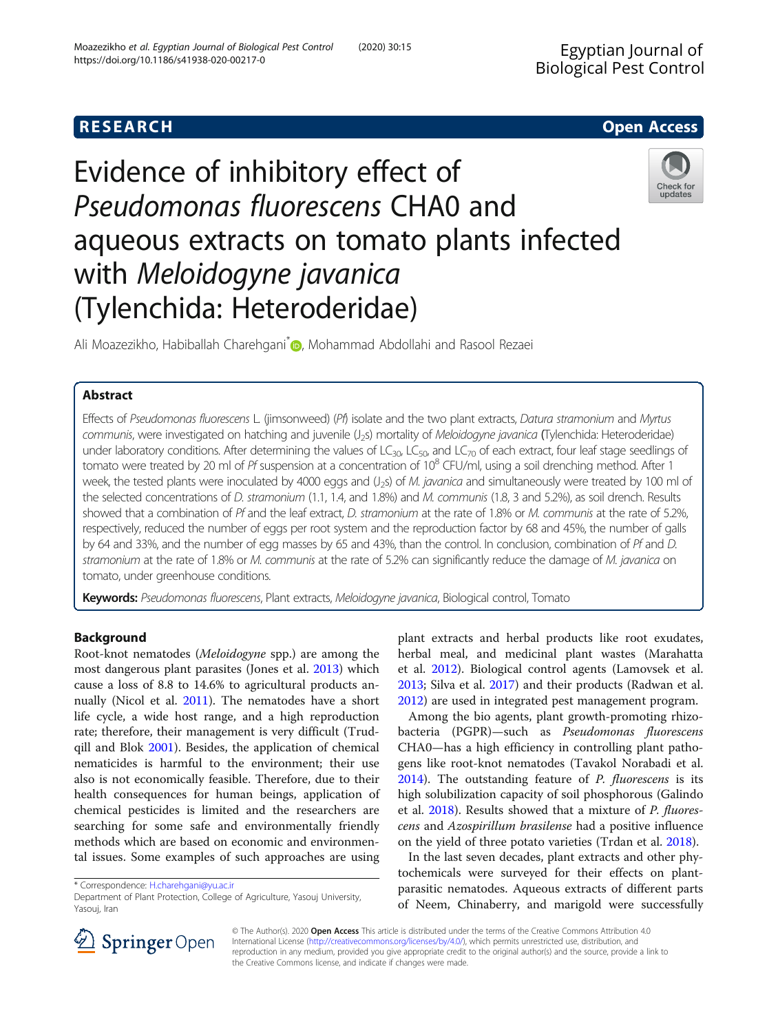# **RESEARCH CHE Open Access**

Check for updates

# Evidence of inhibitory effect of Pseudomonas fluorescens CHA0 and aqueous extracts on tomato plants infected with Meloidogyne javanica (Tylenchida: Heteroderidae)

Ali Moazezikho, Habiballah Charehgani<sup>[\\*](http://orcid.org/0000-0003-3124-3411)</sup> , Mohammad Abdollahi and Rasool Rezaei

# Abstract

Effects of Pseudomonas fluorescens L. (jimsonweed) (Pf) isolate and the two plant extracts, Datura stramonium and Myrtus communis, were investigated on hatching and juvenile (J<sub>2</sub>s) mortality of Meloidogyne javanica (Tylenchida: Heteroderidae) under laboratory conditions. After determining the values of LC<sub>30</sub>, LC<sub>50</sub>, and LC<sub>70</sub> of each extract, four leaf stage seedlings of tomato were treated by 20 ml of Pf suspension at a concentration of 10<sup>8</sup> CFU/ml, using a soil drenching method. After 1 week, the tested plants were inoculated by 4000 eggs and (J<sub>25</sub>) of M. javanica and simultaneously were treated by 100 ml of the selected concentrations of D. stramonium (1.1, 1.4, and 1.8%) and M. communis (1.8, 3 and 5.2%), as soil drench. Results showed that a combination of Pf and the leaf extract, D. stramonium at the rate of 1.8% or M. communis at the rate of 5.2%, respectively, reduced the number of eggs per root system and the reproduction factor by 68 and 45%, the number of galls by 64 and 33%, and the number of egg masses by 65 and 43%, than the control. In conclusion, combination of Pf and D. stramonium at the rate of 1.8% or M. communis at the rate of 5.2% can significantly reduce the damage of M. javanica on tomato, under greenhouse conditions.

Keywords: Pseudomonas fluorescens, Plant extracts, Meloidogyne javanica, Biological control, Tomato

## Background

Root-knot nematodes (Meloidogyne spp.) are among the most dangerous plant parasites (Jones et al. [2013\)](#page-6-0) which cause a loss of 8.8 to 14.6% to agricultural products annually (Nicol et al. [2011\)](#page-6-0). The nematodes have a short life cycle, a wide host range, and a high reproduction rate; therefore, their management is very difficult (Trudqill and Blok [2001](#page-7-0)). Besides, the application of chemical nematicides is harmful to the environment; their use also is not economically feasible. Therefore, due to their health consequences for human beings, application of chemical pesticides is limited and the researchers are searching for some safe and environmentally friendly methods which are based on economic and environmental issues. Some examples of such approaches are using

\* Correspondence: [H.charehgani@yu.ac.ir](mailto:H.charehgani@yu.ac.ir)

plant extracts and herbal products like root exudates, herbal meal, and medicinal plant wastes (Marahatta et al. [2012](#page-6-0)). Biological control agents (Lamovsek et al. [2013](#page-6-0); Silva et al. [2017](#page-7-0)) and their products (Radwan et al. [2012](#page-6-0)) are used in integrated pest management program.

Among the bio agents, plant growth-promoting rhizobacteria (PGPR)—such as Pseudomonas fluorescens CHA0—has a high efficiency in controlling plant pathogens like root-knot nematodes (Tavakol Norabadi et al.  $2014$ ). The outstanding feature of *P. fluorescens* is its high solubilization capacity of soil phosphorous (Galindo et al. [2018\)](#page-6-0). Results showed that a mixture of *P. fluores*cens and Azospirillum brasilense had a positive influence on the yield of three potato varieties (Trdan et al. [2018\)](#page-7-0).

In the last seven decades, plant extracts and other phytochemicals were surveyed for their effects on plantparasitic nematodes. Aqueous extracts of different parts of Neem, Chinaberry, and marigold were successfully



© The Author(s). 2020 Open Access This article is distributed under the terms of the Creative Commons Attribution 4.0 International License ([http://creativecommons.org/licenses/by/4.0/\)](http://creativecommons.org/licenses/by/4.0/), which permits unrestricted use, distribution, and reproduction in any medium, provided you give appropriate credit to the original author(s) and the source, provide a link to the Creative Commons license, and indicate if changes were made.

Department of Plant Protection, College of Agriculture, Yasouj University, Yasouj, Iran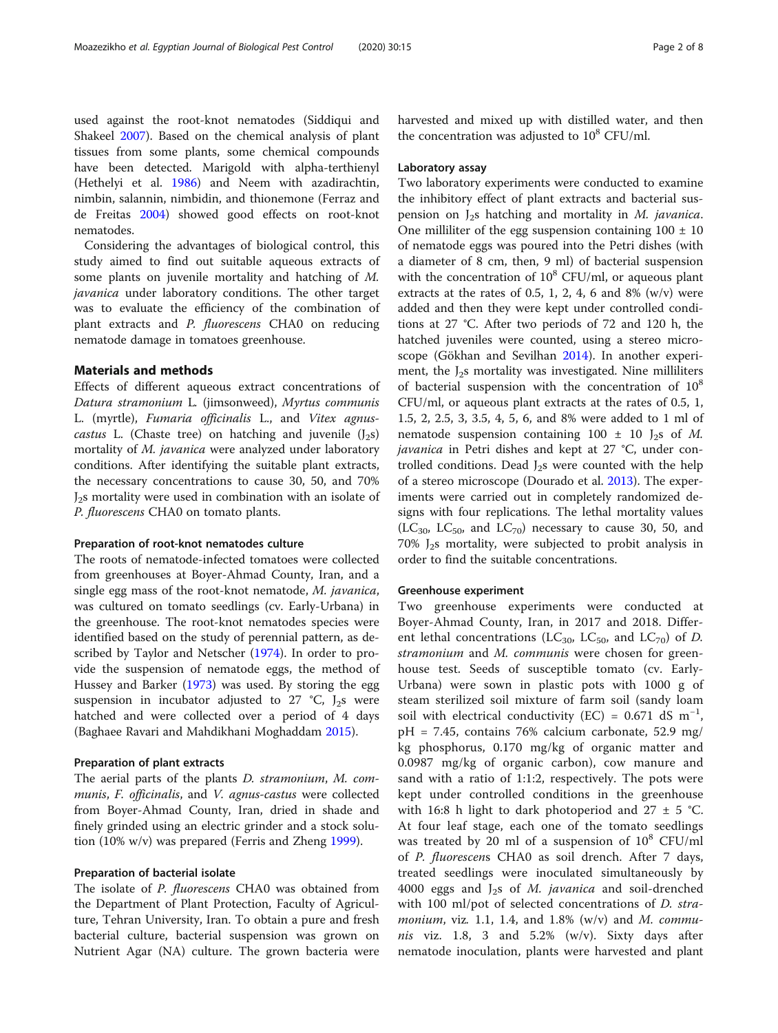used against the root-knot nematodes (Siddiqui and Shakeel [2007\)](#page-7-0). Based on the chemical analysis of plant tissues from some plants, some chemical compounds have been detected. Marigold with alpha-terthienyl (Hethelyi et al. [1986\)](#page-6-0) and Neem with azadirachtin, nimbin, salannin, nimbidin, and thionemone (Ferraz and de Freitas [2004\)](#page-6-0) showed good effects on root-knot nematodes.

Considering the advantages of biological control, this study aimed to find out suitable aqueous extracts of some plants on juvenile mortality and hatching of M. *javanica* under laboratory conditions. The other target was to evaluate the efficiency of the combination of plant extracts and P. fluorescens CHA0 on reducing nematode damage in tomatoes greenhouse.

#### Materials and methods

Effects of different aqueous extract concentrations of Datura stramonium L. (jimsonweed), Myrtus communis L. (myrtle), Fumaria officinalis L., and Vitex agnuscastus L. (Chaste tree) on hatching and juvenile  $(J_2s)$ mortality of *M. javanica* were analyzed under laboratory conditions. After identifying the suitable plant extracts, the necessary concentrations to cause 30, 50, and 70% J2s mortality were used in combination with an isolate of P. fluorescens CHA0 on tomato plants.

#### Preparation of root-knot nematodes culture

The roots of nematode-infected tomatoes were collected from greenhouses at Boyer-Ahmad County, Iran, and a single egg mass of the root-knot nematode, M. javanica, was cultured on tomato seedlings (cv. Early-Urbana) in the greenhouse. The root-knot nematodes species were identified based on the study of perennial pattern, as described by Taylor and Netscher ([1974](#page-7-0)). In order to provide the suspension of nematode eggs, the method of Hussey and Barker ([1973](#page-6-0)) was used. By storing the egg suspension in incubator adjusted to 27  $°C$ , J<sub>2</sub>s were hatched and were collected over a period of 4 days (Baghaee Ravari and Mahdikhani Moghaddam [2015](#page-6-0)).

#### Preparation of plant extracts

The aerial parts of the plants D. stramonium, M. communis, F. officinalis, and V. agnus-castus were collected from Boyer-Ahmad County, Iran, dried in shade and finely grinded using an electric grinder and a stock solution (10% w/v) was prepared (Ferris and Zheng [1999\)](#page-6-0).

#### Preparation of bacterial isolate

The isolate of P. fluorescens CHA0 was obtained from the Department of Plant Protection, Faculty of Agriculture, Tehran University, Iran. To obtain a pure and fresh bacterial culture, bacterial suspension was grown on Nutrient Agar (NA) culture. The grown bacteria were harvested and mixed up with distilled water, and then the concentration was adjusted to  $10^8$  CFU/ml.

#### Laboratory assay

Two laboratory experiments were conducted to examine the inhibitory effect of plant extracts and bacterial suspension on  $J_2$ s hatching and mortality in M. javanica. One milliliter of the egg suspension containing  $100 \pm 10$ of nematode eggs was poured into the Petri dishes (with a diameter of 8 cm, then, 9 ml) of bacterial suspension with the concentration of  $10^8$  CFU/ml, or aqueous plant extracts at the rates of 0.5, 1, 2, 4, 6 and 8%  $(w/v)$  were added and then they were kept under controlled conditions at 27 °C. After two periods of 72 and 120 h, the hatched juveniles were counted, using a stereo microscope (Gökhan and Sevilhan [2014\)](#page-6-0). In another experiment, the  $J_2$ s mortality was investigated. Nine milliliters of bacterial suspension with the concentration of  $10^8$ CFU/ml, or aqueous plant extracts at the rates of 0.5, 1, 1.5, 2, 2.5, 3, 3.5, 4, 5, 6, and 8% were added to 1 ml of nematode suspension containing  $100 \pm 10$  J<sub>2</sub>s of M. javanica in Petri dishes and kept at 27 °C, under controlled conditions. Dead  $J_2$ s were counted with the help of a stereo microscope (Dourado et al. [2013\)](#page-6-0). The experiments were carried out in completely randomized designs with four replications. The lethal mortality values  $(LC_{30}, LC_{50}, and LC_{70})$  necessary to cause 30, 50, and  $70\%$  J<sub>2</sub>s mortality, were subjected to probit analysis in order to find the suitable concentrations.

#### Greenhouse experiment

Two greenhouse experiments were conducted at Boyer-Ahmad County, Iran, in 2017 and 2018. Different lethal concentrations (LC<sub>30</sub>, LC<sub>50</sub>, and LC<sub>70</sub>) of D. stramonium and M. communis were chosen for greenhouse test. Seeds of susceptible tomato (cv. Early-Urbana) were sown in plastic pots with 1000 g of steam sterilized soil mixture of farm soil (sandy loam soil with electrical conductivity (EC) =  $0.671 \text{ dS m}^{-1}$ , pH = 7.45, contains 76% calcium carbonate, 52.9 mg/ kg phosphorus, 0.170 mg/kg of organic matter and 0.0987 mg/kg of organic carbon), cow manure and sand with a ratio of 1:1:2, respectively. The pots were kept under controlled conditions in the greenhouse with 16:8 h light to dark photoperiod and 27  $\pm$  5 °C. At four leaf stage, each one of the tomato seedlings was treated by 20 ml of a suspension of  $10^8$  CFU/ml of P. fluorescens CHA0 as soil drench. After 7 days, treated seedlings were inoculated simultaneously by 4000 eggs and  $J_2$ s of *M. javanica* and soil-drenched with 100 ml/pot of selected concentrations of *D. stramonium*, viz. 1.1, 1.4, and 1.8% (w/v) and M. communis viz. 1.8, 3 and  $5.2\%$  (w/v). Sixty days after nematode inoculation, plants were harvested and plant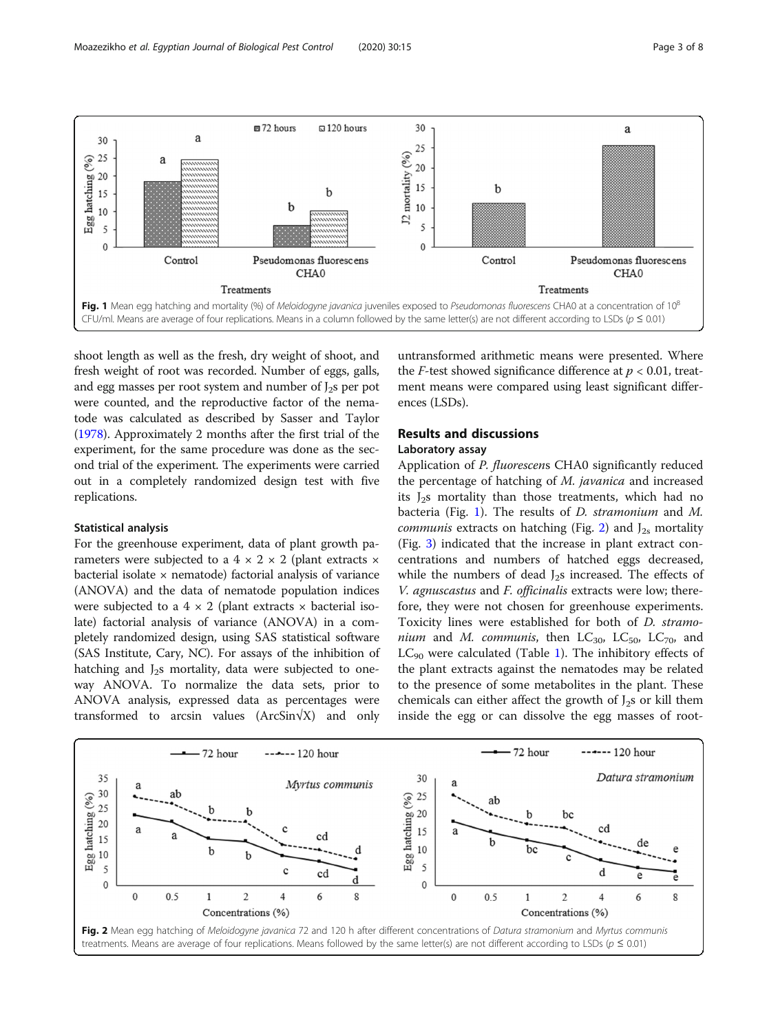

shoot length as well as the fresh, dry weight of shoot, and fresh weight of root was recorded. Number of eggs, galls, and egg masses per root system and number of  $J_2$ s per pot were counted, and the reproductive factor of the nematode was calculated as described by Sasser and Taylor ([1978](#page-6-0)). Approximately 2 months after the first trial of the experiment, for the same procedure was done as the second trial of the experiment. The experiments were carried out in a completely randomized design test with five replications.

#### Statistical analysis

For the greenhouse experiment, data of plant growth parameters were subjected to a  $4 \times 2 \times 2$  (plant extracts  $\times$ bacterial isolate  $\times$  nematode) factorial analysis of variance (ANOVA) and the data of nematode population indices were subjected to a  $4 \times 2$  (plant extracts  $\times$  bacterial isolate) factorial analysis of variance (ANOVA) in a completely randomized design, using SAS statistical software (SAS Institute, Cary, NC). For assays of the inhibition of hatching and  $J_2$ s mortality, data were subjected to oneway ANOVA. To normalize the data sets, prior to ANOVA analysis, expressed data as percentages were transformed to arcsin values (ArcSin√X) and only untransformed arithmetic means were presented. Where the *F*-test showed significance difference at  $p < 0.01$ , treatment means were compared using least significant differences (LSDs).

#### Results and discussions

#### Laboratory assay

Application of P. fluorescens CHA0 significantly reduced the percentage of hatching of *M. javanica* and increased its  $J_2$ s mortality than those treatments, which had no bacteria (Fig. 1). The results of D. stramonium and M. *communis* extracts on hatching (Fig. 2) and  $J_{2s}$  mortality (Fig. [3](#page-3-0)) indicated that the increase in plant extract concentrations and numbers of hatched eggs decreased, while the numbers of dead  $J_2s$  increased. The effects of V. agnuscastus and F. officinalis extracts were low; therefore, they were not chosen for greenhouse experiments. Toxicity lines were established for both of D. stramonium and M. communis, then  $LC_{30}$ ,  $LC_{50}$ ,  $LC_{70}$ , and  $LC_{90}$  were calculated (Table [1](#page-3-0)). The inhibitory effects of the plant extracts against the nematodes may be related to the presence of some metabolites in the plant. These chemicals can either affect the growth of  $J_2$ s or kill them inside the egg or can dissolve the egg masses of root-

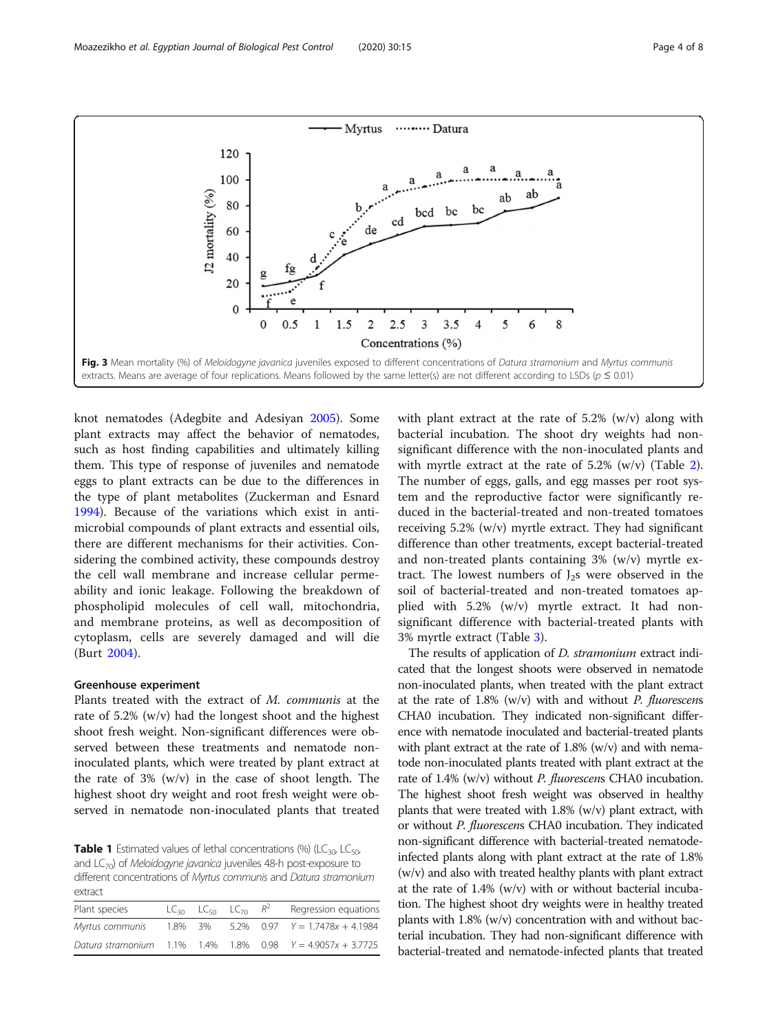<span id="page-3-0"></span>

knot nematodes (Adegbite and Adesiyan [2005](#page-6-0)). Some plant extracts may affect the behavior of nematodes, such as host finding capabilities and ultimately killing them. This type of response of juveniles and nematode eggs to plant extracts can be due to the differences in the type of plant metabolites (Zuckerman and Esnard [1994](#page-7-0)). Because of the variations which exist in antimicrobial compounds of plant extracts and essential oils, there are different mechanisms for their activities. Considering the combined activity, these compounds destroy the cell wall membrane and increase cellular permeability and ionic leakage. Following the breakdown of phospholipid molecules of cell wall, mitochondria, and membrane proteins, as well as decomposition of cytoplasm, cells are severely damaged and will die (Burt [2004](#page-6-0)).

#### Greenhouse experiment

Plants treated with the extract of M. communis at the rate of 5.2% (w/v) had the longest shoot and the highest shoot fresh weight. Non-significant differences were observed between these treatments and nematode noninoculated plants, which were treated by plant extract at the rate of 3% (w/v) in the case of shoot length. The highest shoot dry weight and root fresh weight were observed in nematode non-inoculated plants that treated

**Table 1** Estimated values of lethal concentrations (%) (LC<sub>30</sub>, LC<sub>50</sub>, and  $LC_{70}$ ) of *Meloidogyne javanica* juveniles 48-h post-exposure to different concentrations of Myrtus communis and Datura stramonium extract

| <u>Count</u>    |         |                                     |                                                                 |
|-----------------|---------|-------------------------------------|-----------------------------------------------------------------|
| Plant species   |         | $LC_{30}$ $LC_{50}$ $LC_{70}$ $R^2$ | Regression equations                                            |
| Myrtus communis | 1.8% 3% |                                     | $5.2\%$ 0.97 $Y = 1.7478x + 4.1984$                             |
|                 |         |                                     | Datura stramonium $1.1\%$ 1.4% 1.8% 0.98 $Y = 4.9057x + 3.7725$ |

with plant extract at the rate of 5.2% (w/v) along with bacterial incubation. The shoot dry weights had nonsignificant difference with the non-inoculated plants and with myrtle extract at the rate of  $5.2\%$  $5.2\%$  $5.2\%$  (w/v) (Table 2). The number of eggs, galls, and egg masses per root system and the reproductive factor were significantly reduced in the bacterial-treated and non-treated tomatoes receiving 5.2% (w/v) myrtle extract. They had significant difference than other treatments, except bacterial-treated and non-treated plants containing 3% (w/v) myrtle extract. The lowest numbers of  $J_2$ s were observed in the soil of bacterial-treated and non-treated tomatoes applied with 5.2% (w/v) myrtle extract. It had nonsignificant difference with bacterial-treated plants with 3% myrtle extract (Table [3\)](#page-4-0).

The results of application of *D. stramonium* extract indicated that the longest shoots were observed in nematode non-inoculated plants, when treated with the plant extract at the rate of  $1.8\%$  (w/v) with and without *P. fluorescens* CHA0 incubation. They indicated non-significant difference with nematode inoculated and bacterial-treated plants with plant extract at the rate of 1.8% (w/v) and with nematode non-inoculated plants treated with plant extract at the rate of 1.4% (w/v) without P. fluorescens CHA0 incubation. The highest shoot fresh weight was observed in healthy plants that were treated with 1.8% (w/v) plant extract, with or without P. fluorescens CHA0 incubation. They indicated non-significant difference with bacterial-treated nematodeinfected plants along with plant extract at the rate of 1.8% (w/v) and also with treated healthy plants with plant extract at the rate of 1.4% (w/v) with or without bacterial incubation. The highest shoot dry weights were in healthy treated plants with 1.8% (w/v) concentration with and without bacterial incubation. They had non-significant difference with bacterial-treated and nematode-infected plants that treated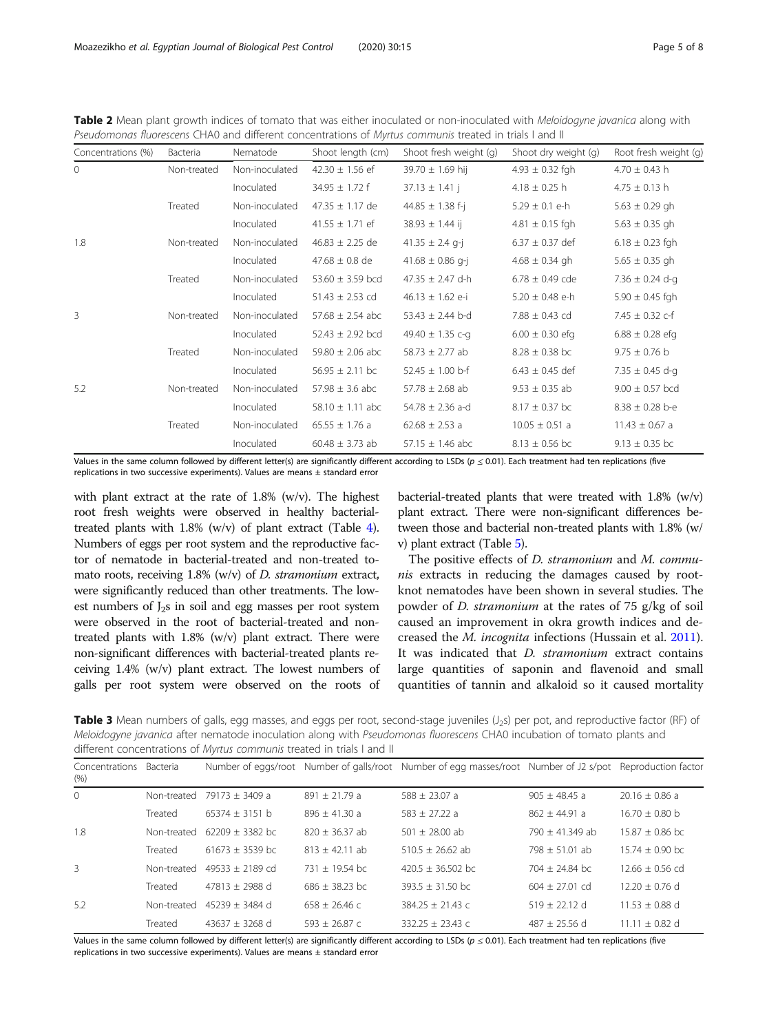| Concentrations (%) | Bacteria    | Nematode       | Shoot length (cm)    | Shoot fresh weight (g) | Shoot dry weight (g) | Root fresh weight (g) |
|--------------------|-------------|----------------|----------------------|------------------------|----------------------|-----------------------|
| $\mathbf{0}$       | Non-treated | Non-inoculated | $42.30 \pm 1.56$ ef  | $39.70 \pm 1.69$ hij   | $4.93 \pm 0.32$ fgh  | $4.70 \pm 0.43$ h     |
|                    |             | Inoculated     | $34.95 \pm 1.72$ f   | $37.13 \pm 1.41$ j     | $4.18 \pm 0.25$ h    | $4.75 \pm 0.13$ h     |
|                    | Treated     | Non-inoculated | $47.35 \pm 1.17$ de  | 44.85 $\pm$ 1.38 f-j   | $5.29 \pm 0.1$ e-h   | $5.63 \pm 0.29$ gh    |
|                    |             | Inoculated     | $41.55 \pm 1.71$ ef  | $38.93 \pm 1.44$ ij    | $4.81 \pm 0.15$ fgh  | $5.63 \pm 0.35$ gh    |
| 1.8                | Non-treated | Non-inoculated | $46.83 \pm 2.25$ de  | 41.35 $\pm$ 2.4 g-j    | $6.37 \pm 0.37$ def  | $6.18 \pm 0.23$ fgh   |
|                    |             | Inoculated     | $47.68 \pm 0.8$ de   | $41.68 \pm 0.86$ g-j   | $4.68 \pm 0.34$ gh   | $5.65 \pm 0.35$ gh    |
|                    | Treated     | Non-inoculated | 53.60 $\pm$ 3.59 bcd | 47.35 $\pm$ 2.47 d-h   | $6.78 \pm 0.49$ cde  | 7.36 $\pm$ 0.24 d-q   |
|                    |             | Inoculated     | $51.43 \pm 2.53$ cd  | $46.13 \pm 1.62$ e-i   | $5.20 \pm 0.48$ e-h  | $5.90 \pm 0.45$ fgh   |
| 3                  | Non-treated | Non-inoculated | $57.68 \pm 2.54$ abc | $53.43 \pm 2.44$ b-d   | 7.88 $\pm$ 0.43 cd   | 7.45 $\pm$ 0.32 c-f   |
|                    |             | Inoculated     | $52.43 \pm 2.92$ bcd | 49.40 $\pm$ 1.35 c-g   | $6.00 \pm 0.30$ efg  | $6.88 \pm 0.28$ efg   |
|                    | Treated     | Non-inoculated | 59.80 $\pm$ 2.06 abc | $58.73 \pm 2.77$ ab    | $8.28 \pm 0.38$ bc   | $9.75 \pm 0.76$ b     |
|                    |             | Inoculated     | $56.95 \pm 2.11$ bc  | $52.45 \pm 1.00$ b-f   | $6.43 \pm 0.45$ def  | $7.35 \pm 0.45$ d-q   |
| 5.2                | Non-treated | Non-inoculated | $57.98 \pm 3.6$ abc  | $57.78 \pm 2.68$ ab    | $9.53 \pm 0.35$ ab   | $9.00 \pm 0.57$ bcd   |
|                    |             | Inoculated     | $58.10 \pm 1.11$ abc | 54.78 $\pm$ 2.36 a-d   | $8.17 \pm 0.37$ bc   | $8.38 \pm 0.28$ b-e   |
|                    | Treated     | Non-inoculated | $65.55 \pm 1.76$ a   | $62.68 \pm 2.53$ a     | $10.05 \pm 0.51$ a   | $11.43 \pm 0.67$ a    |
|                    |             | Inoculated     | $60.48 \pm 3.73$ ab  | $57.15 \pm 1.46$ abc   | $8.13 \pm 0.56$ bc   | $9.13 \pm 0.35$ bc    |

<span id="page-4-0"></span>Table 2 Mean plant growth indices of tomato that was either inoculated or non-inoculated with Meloidogyne javanica along with Pseudomonas fluorescens CHA0 and different concentrations of Myrtus communis treated in trials I and II

Values in the same column followed by different letter(s) are significantly different according to LSDs ( $p \le 0.01$ ). Each treatment had ten replications (five replications in two successive experiments). Values are means ± standard error

with plant extract at the rate of 1.8% (w/v). The highest root fresh weights were observed in healthy bacterialtreated plants with 1.8% (w/v) of plant extract (Table [4](#page-5-0)). Numbers of eggs per root system and the reproductive factor of nematode in bacterial-treated and non-treated tomato roots, receiving  $1.8\%$  (w/v) of *D. stramonium* extract, were significantly reduced than other treatments. The lowest numbers of  $J_2$ s in soil and egg masses per root system were observed in the root of bacterial-treated and nontreated plants with 1.8% (w/v) plant extract. There were non-significant differences with bacterial-treated plants receiving 1.4% (w/v) plant extract. The lowest numbers of galls per root system were observed on the roots of

bacterial-treated plants that were treated with 1.8% (w/v) plant extract. There were non-significant differences between those and bacterial non-treated plants with 1.8% (w/ v) plant extract (Table [5\)](#page-5-0).

The positive effects of *D. stramonium* and *M. commu*nis extracts in reducing the damages caused by rootknot nematodes have been shown in several studies. The powder of *D. stramonium* at the rates of 75 g/kg of soil caused an improvement in okra growth indices and decreased the M. incognita infections (Hussain et al. [2011](#page-6-0)). It was indicated that *D. stramonium* extract contains large quantities of saponin and flavenoid and small quantities of tannin and alkaloid so it caused mortality

Table 3 Mean numbers of galls, egg masses, and eggs per root, second-stage juveniles (J<sub>2</sub>s) per pot, and reproductive factor (RF) of Meloidogyne javanica after nematode inoculation along with Pseudomonas fluorescens CHA0 incubation of tomato plants and different concentrations of Myrtus communis treated in trials I and II

| Concentrations<br>(% ) | <b>Bacteria</b> |                     |                   | Number of eggs/root Number of galls/root Number of egg masses/root Number of J2 s/pot Reproduction factor |                   |                    |
|------------------------|-----------------|---------------------|-------------------|-----------------------------------------------------------------------------------------------------------|-------------------|--------------------|
| $\Omega$               | Non-treated     | $79173 + 3409$ a    | $891 \pm 21.79$ a | $588 + 23.07$ a                                                                                           | $905 + 48.45$ a   | $20.16 \pm 0.86$ a |
|                        | Treated         | $65374 + 3151$ b    | $896 + 41.30 a$   | $583 + 27.22 a$                                                                                           | $862 \pm 44.91$ a | $16.70 \pm 0.80$ b |
| 1.8                    | Non-treated     | $62209 + 3382$ bc   | $820 + 36.37$ ab  | $501 + 28.00$ ab                                                                                          | $790 + 41.349$ ab | $15.87 + 0.86$ bc  |
|                        | Treated         | 61673 $\pm$ 3539 bc | $813 + 42.11$ ab  | $510.5 + 26.62$ ab                                                                                        | $798 + 51.01$ ab  | $15.74 + 0.90$ bc  |
| 3                      | Non-treated     | $49533 + 2189$ cd   | $731 + 1954$ hc   | $420.5 + 36.502$ bc                                                                                       | $704 + 24.84$ bc  | $12.66 + 0.56$ cd  |
|                        | Treated         | $47813 + 2988$ d    | $686 + 38.23$ bc  | $393.5 + 31.50$ bc                                                                                        | $604 + 27.01$ cd  | $12.20 + 0.76$ d   |
| 5.2                    | Non-treated     | $45239 + 3484$ d    | $658 + 26.46c$    | $384.25 + 21.43$ c                                                                                        | $519 + 22.12$ d   | $11.53 \pm 0.88$ d |
|                        | Treated         | $43637 + 3268$ d    | $593 + 26.87c$    | $332.25 + 23.43c$                                                                                         | $487 + 25.56$ d   | $11.11 + 0.82$ d   |

Values in the same column followed by different letter(s) are significantly different according to LSDs ( $p \le 0.01$ ). Each treatment had ten replications (five replications in two successive experiments). Values are means ± standard error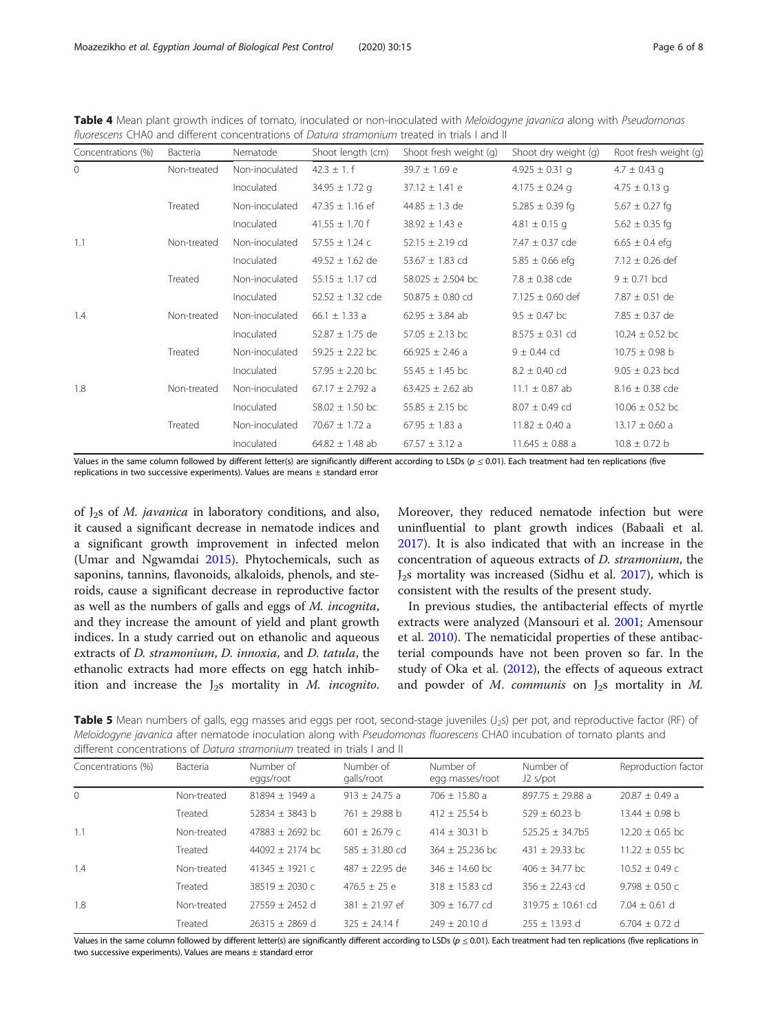| Concentrations (%) | Bacteria    | Nematode       | Shoot length (cm)    | Shoot fresh weight (g) | Shoot dry weight (g) | Root fresh weight (g) |
|--------------------|-------------|----------------|----------------------|------------------------|----------------------|-----------------------|
| $\mathbf{0}$       | Non-treated | Non-inoculated | $42.3 \pm 1. f$      | $39.7 \pm 1.69$ e      | $4.925 \pm 0.31$ q   | $4.7 \pm 0.43$ g      |
|                    |             | Inoculated     | $34.95 \pm 1.72$ q   | $37.12 \pm 1.41$ e     | 4.175 $\pm$ 0.24 q   | $4.75 \pm 0.13$ g     |
|                    | Treated     | Non-inoculated | $47.35 \pm 1.16$ ef  | 44.85 $\pm$ 1.3 de     | 5.285 $\pm$ 0.39 fg  | $5.67 \pm 0.27$ fg    |
|                    |             | Inoculated     | $41.55 \pm 1.70$ f   | $38.92 \pm 1.43$ e     | $4.81 \pm 0.15$ g    | $5.62 \pm 0.35$ fg    |
| 1.1                | Non-treated | Non-inoculated | $57.55 \pm 1.24$ c   | $52.15 \pm 2.19$ cd    | 7.47 $\pm$ 0.37 cde  | $6.65 \pm 0.4$ efg    |
|                    |             | Inoculated     | $49.52 \pm 1.62$ de  | 53.67 $\pm$ 1.83 cd    | $5.85 \pm 0.66$ efg  | $7.12 \pm 0.26$ def   |
|                    | Treated     | Non-inoculated | $55.15 \pm 1.17$ cd  | 58.025 $\pm$ 2.504 bc  | $7.8 \pm 0.38$ cde   | $9 \pm 0.71$ bcd      |
|                    |             | Inoculated     | $52.52 \pm 1.32$ cde | $50.875 \pm 0.80$ cd   | $7.125 \pm 0.60$ def | $7.87 \pm 0.51$ de    |
| 1.4                | Non-treated | Non-inoculated | 66.1 $\pm$ 1.33 a    | $62.95 \pm 3.84$ ab    | $9.5 \pm 0.47$ bc    | $7.85 \pm 0.37$ de    |
|                    |             | Inoculated     | $52.87 \pm 1.75$ de  | $57.05 \pm 2.13$ bc    | $8.575 \pm 0.31$ cd  | 10.24 $\pm$ 0.52 bc   |
|                    | Treated     | Non-inoculated | 59.25 $\pm$ 2.22 bc  | 66.925 $\pm$ 2.46 a    | $9 \pm 0.44$ cd      | $10.75 \pm 0.98$ b    |
|                    |             | Inoculated     | $57.95 \pm 2.20$ bc  | $55.45 \pm 1.45$ bc    | $8.2 \pm 0.40$ cd    | $9.05 \pm 0.23$ bcd   |
| 1.8                | Non-treated | Non-inoculated | 67.17 $\pm$ 2.792 a  | $63.425 \pm 2.62$ ab   | $11.1 \pm 0.87$ ab   | $8.16 \pm 0.38$ cde   |
|                    |             | Inoculated     | $58.02 \pm 1.50$ bc  | $55.85 \pm 2.15$ bc    | $8.07 \pm 0.49$ cd   | $10.06 \pm 0.52$ bc   |
|                    | Treated     | Non-inoculated | 70.67 $\pm$ 1.72 a   | $67.95 \pm 1.83$ a     | $11.82 \pm 0.40$ a   | $13.17 \pm 0.60$ a    |
|                    |             | Inoculated     | $64.82 \pm 1.48$ ab  | $67.57 \pm 3.12$ a     | $11.645 \pm 0.88$ a  | $10.8 \pm 0.72$ b     |

<span id="page-5-0"></span>Table 4 Mean plant growth indices of tomato, inoculated or non-inoculated with Meloidogyne javanica along with Pseudomonas fluorescens CHA0 and different concentrations of Datura stramonium treated in trials I and II

Values in the same column followed by different letter(s) are significantly different according to LSDs ( $p \le 0.01$ ). Each treatment had ten replications (five replications in two successive experiments). Values are means ± standard error

of  $J_2$ s of *M. javanica* in laboratory conditions, and also, it caused a significant decrease in nematode indices and a significant growth improvement in infected melon (Umar and Ngwamdai [2015](#page-7-0)). Phytochemicals, such as saponins, tannins, flavonoids, alkaloids, phenols, and steroids, cause a significant decrease in reproductive factor as well as the numbers of galls and eggs of M. incognita, and they increase the amount of yield and plant growth indices. In a study carried out on ethanolic and aqueous extracts of D. stramonium, D. innoxia, and D. tatula, the ethanolic extracts had more effects on egg hatch inhibition and increase the  $J_2$ s mortality in *M. incognito.* 

Moreover, they reduced nematode infection but were uninfluential to plant growth indices (Babaali et al. [2017](#page-6-0)). It is also indicated that with an increase in the concentration of aqueous extracts of D. stramonium, the  $J<sub>2</sub>s$  mortality was increased (Sidhu et al. [2017\)](#page-7-0), which is consistent with the results of the present study.

In previous studies, the antibacterial effects of myrtle extracts were analyzed (Mansouri et al. [2001](#page-6-0); Amensour et al. [2010](#page-6-0)). The nematicidal properties of these antibacterial compounds have not been proven so far. In the study of Oka et al. [\(2012](#page-6-0)), the effects of aqueous extract and powder of M. communis on  $J_2$ s mortality in M.

Table 5 Mean numbers of galls, egg masses and eggs per root, second-stage juveniles (J<sub>2</sub>s) per pot, and reproductive factor (RF) of Meloidogyne javanica after nematode inoculation along with Pseudomonas fluorescens CHA0 incubation of tomato plants and different concentrations of Datura stramonium treated in trials I and II

| Concentrations (%) | Bacteria    | Number of<br>eggs/root | Number of<br>galls/root | Number of<br>egg masses/root | Number of<br>$J2$ s/pot | Reproduction factor |  |
|--------------------|-------------|------------------------|-------------------------|------------------------------|-------------------------|---------------------|--|
| $\Omega$           | Non-treated | $81894 + 1949$ a       | $913 + 24.75$ a         | $706 + 15.80$ a              | $897.75 + 29.88$ a      | $20.87 + 0.49$ a    |  |
|                    | Treated     | $52834 + 3843$ b       | $761 + 29.88$ b         | $412 + 25.54$ b              | $529 + 60.23$ b         | $13.44 + 0.98 h$    |  |
| 1.1                | Non-treated | $47883 + 2692$ bc      | $601 + 26.79$ c         | $414 + 30.31$ b              | $525.25 + 34.7b5$       | $12.20 + 0.65$ bc   |  |
|                    | Treated     | $44092 + 2174$ bc      | $585 + 31.80$ cd        | $364 + 25.236$ bc            | $431 + 29.33$ bc        | $11.22 + 0.55$ bc   |  |
| 1.4                | Non-treated | $41345 + 1921c$        | $487 + 22.95$ de        | $346 + 14.60$ bc             | $406 + 34.77$ bc        | $10.52 \pm 0.49$ c  |  |
|                    | Treated     | $38519 + 2030c$        | $476.5 + 25$ e          | $318 + 15.83$ cd             | $356 + 2243$ cd         | $9.798 + 0.50c$     |  |
| 1.8                | Non-treated | $27559 + 2452$ d       | $381 + 21.97$ ef        | $309 + 16.77$ cd             | $319.75 + 10.61$ cd     | $7.04 + 0.61$ d     |  |
|                    | Treated     | $26315 + 2869$ d       | $325 + 24.14f$          | $749 + 70.10$ d              | $255 + 13.93$ d         | $6.704 + 0.72$ d    |  |

Values in the same column followed by different letter(s) are significantly different according to LSDs (p ≤ 0.01). Each treatment had ten replications (five replications in two successive experiments). Values are means ± standard error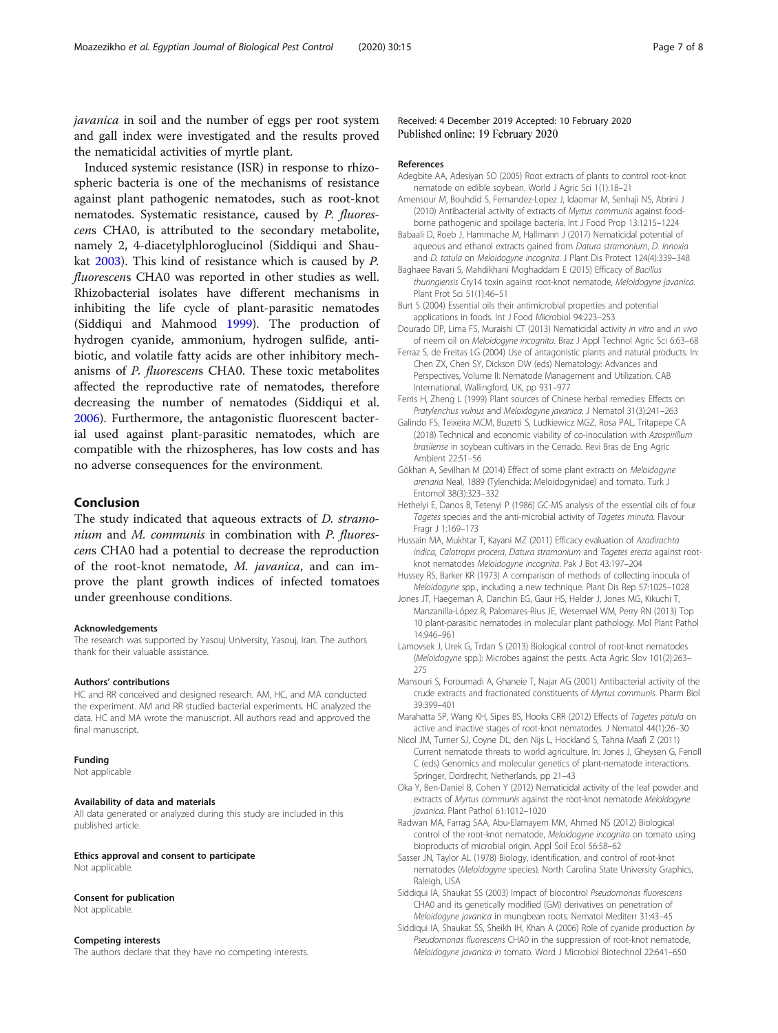<span id="page-6-0"></span>javanica in soil and the number of eggs per root system and gall index were investigated and the results proved the nematicidal activities of myrtle plant.

Induced systemic resistance (ISR) in response to rhizospheric bacteria is one of the mechanisms of resistance against plant pathogenic nematodes, such as root-knot nematodes. Systematic resistance, caused by P. fluorescens CHA0, is attributed to the secondary metabolite, namely 2, 4-diacetylphloroglucinol (Siddiqui and Shaukat 2003). This kind of resistance which is caused by P. fluorescens CHA0 was reported in other studies as well. Rhizobacterial isolates have different mechanisms in inhibiting the life cycle of plant-parasitic nematodes (Siddiqui and Mahmood [1999](#page-7-0)). The production of hydrogen cyanide, ammonium, hydrogen sulfide, antibiotic, and volatile fatty acids are other inhibitory mechanisms of P. fluorescens CHA0. These toxic metabolites affected the reproductive rate of nematodes, therefore decreasing the number of nematodes (Siddiqui et al. 2006). Furthermore, the antagonistic fluorescent bacterial used against plant-parasitic nematodes, which are compatible with the rhizospheres, has low costs and has no adverse consequences for the environment.

#### Conclusion

The study indicated that aqueous extracts of *D. stramo*nium and M. communis in combination with P. fluorescens CHA0 had a potential to decrease the reproduction of the root-knot nematode, M. javanica, and can improve the plant growth indices of infected tomatoes under greenhouse conditions.

#### Acknowledgements

The research was supported by Yasouj University, Yasouj, Iran. The authors thank for their valuable assistance.

#### Authors' contributions

HC and RR conceived and designed research. AM, HC, and MA conducted the experiment. AM and RR studied bacterial experiments. HC analyzed the data. HC and MA wrote the manuscript. All authors read and approved the final manuscript.

#### Funding

Not applicable

#### Availability of data and materials

All data generated or analyzed during this study are included in this published article.

Ethics approval and consent to participate Not applicable.

#### Consent for publication

Not applicable.

#### Competing interests

The authors declare that they have no competing interests.

Received: 4 December 2019 Accepted: 10 February 2020 Published online: 19 February 2020

#### References

- Adegbite AA, Adesiyan SO (2005) Root extracts of plants to control root-knot nematode on edible soybean. World J Agric Sci 1(1):18–21
- Amensour M, Bouhdid S, Fernandez-Lopez J, Idaomar M, Senhaji NS, Abrini J (2010) Antibacterial activity of extracts of Myrtus communis against foodborne pathogenic and spoilage bacteria. Int J Food Prop 13:1215–1224
- Babaali D, Roeb J, Hammache M, Hallmann J (2017) Nematicidal potential of aqueous and ethanol extracts gained from Datura stramonium, D. innoxia and D. tatula on Meloidogyne incognita. J Plant Dis Protect 124(4):339–348
- Baghaee Ravari S, Mahdikhani Moghaddam E (2015) Efficacy of Bacillus thuringiensis Cry14 toxin against root-knot nematode, Meloidogyne javanica. Plant Prot Sci 51(1):46–51
- Burt S (2004) Essential oils their antimicrobial properties and potential applications in foods. Int J Food Microbiol 94:223–253
- Dourado DP, Lima FS, Muraishi CT (2013) Nematicidal activity in vitro and in vivo of neem oil on Meloidogyne incognita. Braz J Appl Technol Agric Sci 6:63–68
- Ferraz S, de Freitas LG (2004) Use of antagonistic plants and natural products. In: Chen ZX, Chen SY, Dickson DW (eds) Nematology: Advances and Perspectives, Volume II: Nematode Management and Utilization. CAB International, Wallingford, UK, pp 931–977
- Ferris H, Zheng L (1999) Plant sources of Chinese herbal remedies: Effects on Pratylenchus vulnus and Meloidogyne javanica. J Nematol 31(3):241–263
- Galindo FS, Teixeira MCM, Buzetti S, Ludkiewicz MGZ, Rosa PAL, Tritapepe CA (2018) Technical and economic viability of co-inoculation with Azospirillum brasilense in soybean cultivars in the Cerrado. Revi Bras de Eng Agric Ambient 22:51–56
- Gökhan A, Sevilhan M (2014) Effect of some plant extracts on Meloidogyne arenaria Neal, 1889 (Tylenchida: Meloidogynidae) and tomato. Turk J Entomol 38(3):323–332
- Hethelyi E, Danos B, Tetenyi P (1986) GC-MS analysis of the essential oils of four Tagetes species and the anti-microbial activity of Tagetes minuta. Flavour Fragr J 1:169–173
- Hussain MA, Mukhtar T, Kayani MZ (2011) Efficacy evaluation of Azadirachta indica, Calotropis procera, Datura stramonium and Tagetes erecta against rootknot nematodes Meloidogyne incognita. Pak J Bot 43:197–204
- Hussey RS, Barker KR (1973) A comparison of methods of collecting inocula of Meloidogyne spp., including a new technique. Plant Dis Rep 57:1025–1028
- Jones JT, Haegeman A, Danchin EG, Gaur HS, Helder J, Jones MG, Kikuchi T, Manzanilla-López R, Palomares-Rius JE, Wesemael WM, Perry RN (2013) Top 10 plant-parasitic nematodes in molecular plant pathology. Mol Plant Pathol 14:946–961
- Lamovsek J, Urek G, Trdan S (2013) Biological control of root-knot nematodes (Meloidogyne spp.): Microbes against the pests. Acta Agric Slov 101(2):263– 275
- Mansouri S, Foroumadi A, Ghaneie T, Najar AG (2001) Antibacterial activity of the crude extracts and fractionated constituents of Myrtus communis. Pharm Biol 39:399–401
- Marahatta SP, Wang KH, Sipes BS, Hooks CRR (2012) Effects of Tagetes patula on active and inactive stages of root-knot nematodes. J Nematol 44(1):26–30
- Nicol JM, Turner SJ, Coyne DL, den Nijs L, Hockland S, Tahna Maafi Z (2011) Current nematode threats to world agriculture. In: Jones J, Gheysen G, Fenoll C (eds) Genomics and molecular genetics of plant-nematode interactions. Springer, Dordrecht, Netherlands, pp 21–43
- Oka Y, Ben-Daniel B, Cohen Y (2012) Nematicidal activity of the leaf powder and extracts of Myrtus communis against the root-knot nematode Meloidogyne javanica. Plant Pathol 61:1012–1020
- Radwan MA, Farrag SAA, Abu-Elamayem MM, Ahmed NS (2012) Biological control of the root-knot nematode, Meloidogyne incognita on tomato using bioproducts of microbial origin. Appl Soil Ecol 56:58–62
- Sasser JN, Taylor AL (1978) Biology, identification, and control of root-knot nematodes (Meloidogyne species). North Carolina State University Graphics, Raleigh, USA
- Siddiqui IA, Shaukat SS (2003) Impact of biocontrol Pseudomonas fluorescens CHA0 and its genetically modified (GM) derivatives on penetration of Meloidogyne javanica in mungbean roots. Nematol Mediterr 31:43–45
- Siddiqui IA, Shaukat SS, Sheikh IH, Khan A (2006) Role of cyanide production by Pseudomonas fluorescens CHA0 in the suppression of root-knot nematode, Meloidogyne javanica in tomato. Word J Microbiol Biotechnol 22:641–650